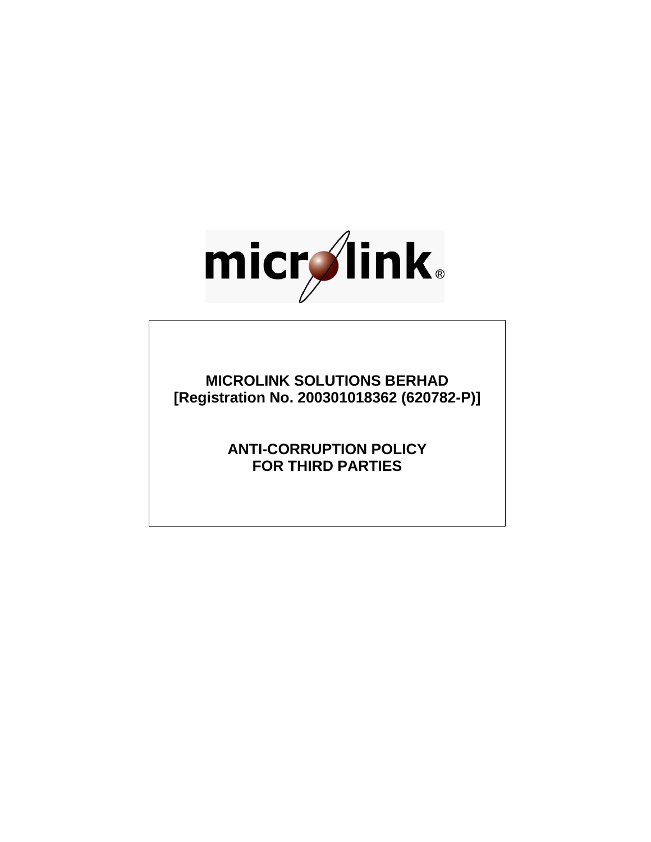

**MICROLINK SOLUTIONS BERHAD [Registration No. 200301018362 (620782-P)]**

> **ANTI-CORRUPTION POLICY FOR THIRD PARTIES**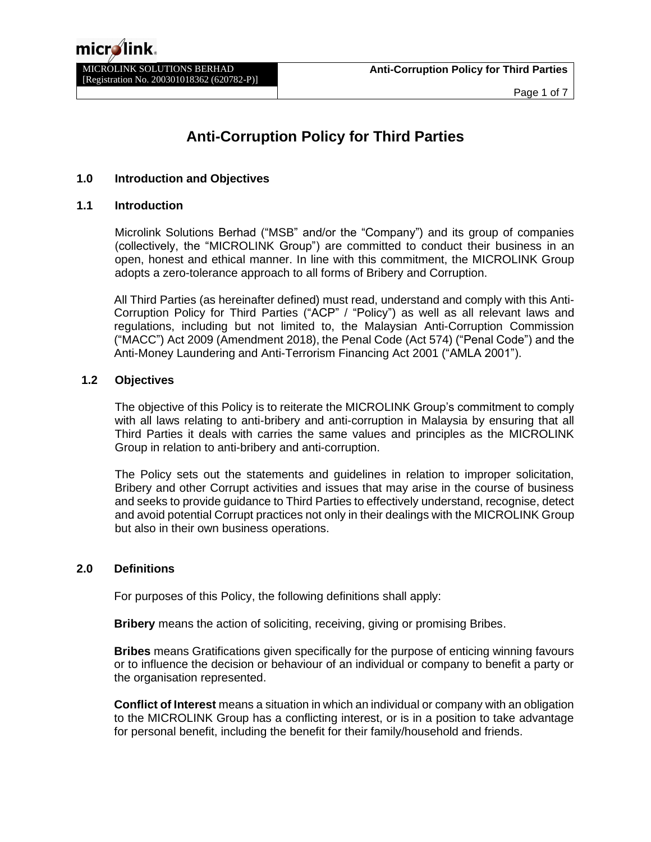## **Anti-Corruption Policy for Third Parties**

## **1.0 Introduction and Objectives**

#### **1.1 Introduction**

Microlink Solutions Berhad ("MSB" and/or the "Company") and its group of companies (collectively, the "MICROLINK Group") are committed to conduct their business in an open, honest and ethical manner. In line with this commitment, the MICROLINK Group adopts a zero-tolerance approach to all forms of Bribery and Corruption.

All Third Parties (as hereinafter defined) must read, understand and comply with this Anti-Corruption Policy for Third Parties ("ACP" / "Policy") as well as all relevant laws and regulations, including but not limited to, the Malaysian Anti-Corruption Commission ("MACC") Act 2009 (Amendment 2018), the Penal Code (Act 574) ("Penal Code") and the Anti-Money Laundering and Anti-Terrorism Financing Act 2001 ("AMLA 2001").

### **1.2 Objectives**

The objective of this Policy is to reiterate the MICROLINK Group's commitment to comply with all laws relating to anti-bribery and anti-corruption in Malaysia by ensuring that all Third Parties it deals with carries the same values and principles as the MICROLINK Group in relation to anti-bribery and anti-corruption.

The Policy sets out the statements and guidelines in relation to improper solicitation, Bribery and other Corrupt activities and issues that may arise in the course of business and seeks to provide guidance to Third Parties to effectively understand, recognise, detect and avoid potential Corrupt practices not only in their dealings with the MICROLINK Group but also in their own business operations.

#### **2.0 Definitions**

For purposes of this Policy, the following definitions shall apply:

**Bribery** means the action of soliciting, receiving, giving or promising Bribes.

**Bribes** means Gratifications given specifically for the purpose of enticing winning favours or to influence the decision or behaviour of an individual or company to benefit a party or the organisation represented.

**Conflict of Interest** means a situation in which an individual or company with an obligation to the MICROLINK Group has a conflicting interest, or is in a position to take advantage for personal benefit, including the benefit for their family/household and friends.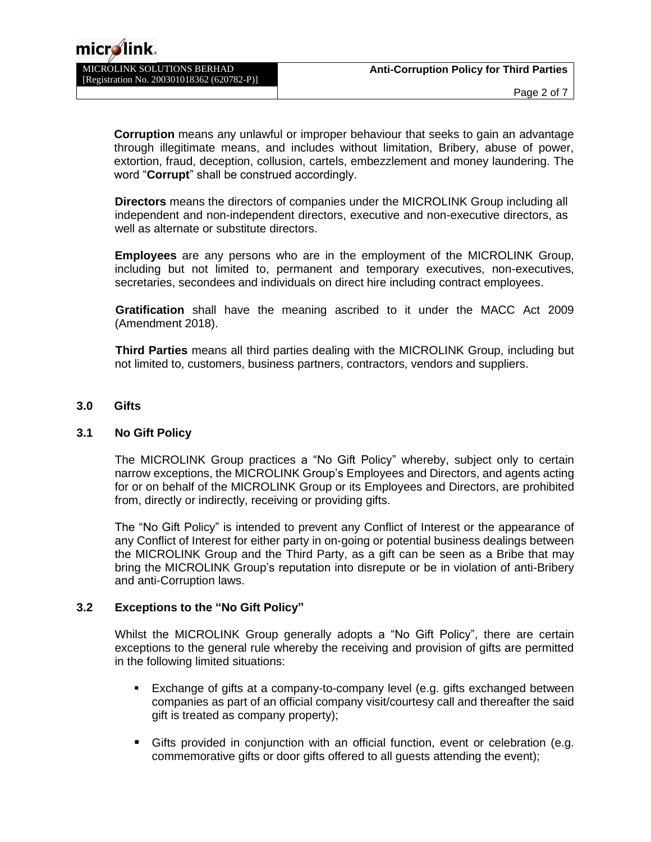| <b>MICROLINK SOLUTIONS BERHAD</b><br>[Registration No. 200301018362 (620782-P)] | <b>Anti-Corruption Policy for Third Parties</b> |
|---------------------------------------------------------------------------------|-------------------------------------------------|
|                                                                                 | Page 2 of 7                                     |

**Corruption** means any unlawful or improper behaviour that seeks to gain an advantage through illegitimate means, and includes without limitation, Bribery, abuse of power, extortion, fraud, deception, collusion, cartels, embezzlement and money laundering. The word "**Corrupt**" shall be construed accordingly.

**Directors** means the directors of companies under the MICROLINK Group including all independent and non-independent directors, executive and non-executive directors, as well as alternate or substitute directors.

**Employees** are any persons who are in the employment of the MICROLINK Group, including but not limited to, permanent and temporary executives, non-executives, secretaries, secondees and individuals on direct hire including contract employees.

**Gratification** shall have the meaning ascribed to it under the MACC Act 2009 (Amendment 2018).

**Third Parties** means all third parties dealing with the MICROLINK Group, including but not limited to, customers, business partners, contractors, vendors and suppliers.

## **3.0 Gifts**

#### **3.1 No Gift Policy**

The MICROLINK Group practices a "No Gift Policy" whereby, subject only to certain narrow exceptions, the MICROLINK Group's Employees and Directors, and agents acting for or on behalf of the MICROLINK Group or its Employees and Directors, are prohibited from, directly or indirectly, receiving or providing gifts.

The "No Gift Policy" is intended to prevent any Conflict of Interest or the appearance of any Conflict of Interest for either party in on-going or potential business dealings between the MICROLINK Group and the Third Party, as a gift can be seen as a Bribe that may bring the MICROLINK Group's reputation into disrepute or be in violation of anti-Bribery and anti-Corruption laws.

## **3.2 Exceptions to the "No Gift Policy"**

Whilst the MICROLINK Group generally adopts a "No Gift Policy", there are certain exceptions to the general rule whereby the receiving and provision of gifts are permitted in the following limited situations:

- **Exchange of gifts at a company-to-company level (e.g. gifts exchanged between** companies as part of an official company visit/courtesy call and thereafter the said gift is treated as company property);
- **E** Gifts provided in conjunction with an official function, event or celebration (e.g. commemorative gifts or door gifts offered to all guests attending the event);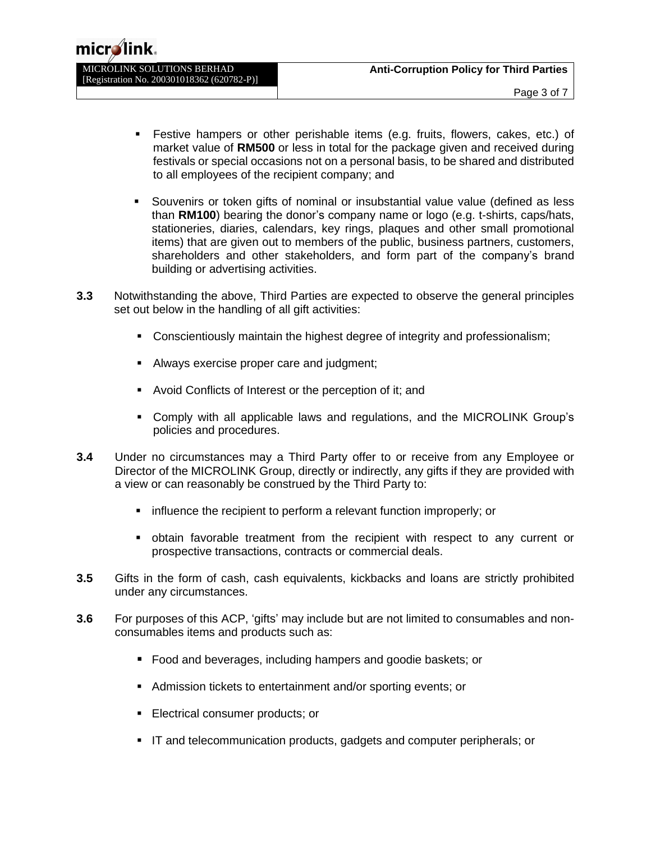| <b>MICROLINK SOLUTIONS BERHAD</b>          | <b>Anti-Corruption Policy for Third Parties</b> |
|--------------------------------------------|-------------------------------------------------|
| [Registration No. 200301018362 (620782-P)] |                                                 |
|                                            | Page 3 of 7                                     |

- Festive hampers or other perishable items (e.g. fruits, flowers, cakes, etc.) of market value of **RM500** or less in total for the package given and received during festivals or special occasions not on a personal basis, to be shared and distributed to all employees of the recipient company; and
- Souvenirs or token gifts of nominal or insubstantial value value (defined as less than **RM100**) bearing the donor's company name or logo (e.g. t-shirts, caps/hats, stationeries, diaries, calendars, key rings, plaques and other small promotional items) that are given out to members of the public, business partners, customers, shareholders and other stakeholders, and form part of the company's brand building or advertising activities.
- **3.3** Notwithstanding the above, Third Parties are expected to observe the general principles set out below in the handling of all gift activities:
	- Conscientiously maintain the highest degree of integrity and professionalism;
	- Always exercise proper care and judgment;
	- Avoid Conflicts of Interest or the perception of it; and
	- Comply with all applicable laws and regulations, and the MICROLINK Group's policies and procedures.
- **3.4** Under no circumstances may a Third Party offer to or receive from any Employee or Director of the MICROLINK Group, directly or indirectly, any gifts if they are provided with a view or can reasonably be construed by the Third Party to:
	- influence the recipient to perform a relevant function improperly; or
	- obtain favorable treatment from the recipient with respect to any current or prospective transactions, contracts or commercial deals.
- **3.5** Gifts in the form of cash, cash equivalents, kickbacks and loans are strictly prohibited under any circumstances.
- **3.6** For purposes of this ACP, 'gifts' may include but are not limited to consumables and nonconsumables items and products such as:
	- Food and beverages, including hampers and goodie baskets; or
	- Admission tickets to entertainment and/or sporting events; or
	- **Electrical consumer products; or**
	- IT and telecommunication products, gadgets and computer peripherals; or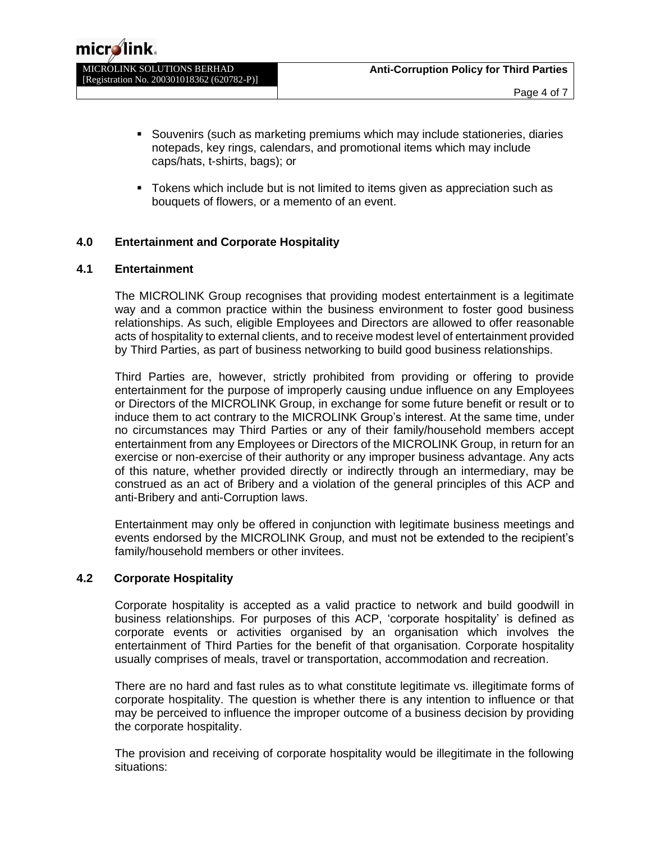| <b>MICROLINK SOLUTIONS BERHAD</b><br>[Registration No. 200301018362 (620782-P)] | <b>Anti-Corruption Policy for Third Parties</b> |
|---------------------------------------------------------------------------------|-------------------------------------------------|
|                                                                                 | Page 4 of 7                                     |

- **EX Souvenirs (such as marketing premiums which may include stationeries, diaries** notepads, key rings, calendars, and promotional items which may include caps/hats, t-shirts, bags); or
- Tokens which include but is not limited to items given as appreciation such as bouquets of flowers, or a memento of an event.

## **4.0 Entertainment and Corporate Hospitality**

## **4.1 Entertainment**

The MICROLINK Group recognises that providing modest entertainment is a legitimate way and a common practice within the business environment to foster good business relationships. As such, eligible Employees and Directors are allowed to offer reasonable acts of hospitality to external clients, and to receive modest level of entertainment provided by Third Parties, as part of business networking to build good business relationships.

Third Parties are, however, strictly prohibited from providing or offering to provide entertainment for the purpose of improperly causing undue influence on any Employees or Directors of the MICROLINK Group, in exchange for some future benefit or result or to induce them to act contrary to the MICROLINK Group's interest. At the same time, under no circumstances may Third Parties or any of their family/household members accept entertainment from any Employees or Directors of the MICROLINK Group, in return for an exercise or non-exercise of their authority or any improper business advantage. Any acts of this nature, whether provided directly or indirectly through an intermediary, may be construed as an act of Bribery and a violation of the general principles of this ACP and anti-Bribery and anti-Corruption laws.

Entertainment may only be offered in conjunction with legitimate business meetings and events endorsed by the MICROLINK Group, and must not be extended to the recipient's family/household members or other invitees.

## **4.2 Corporate Hospitality**

Corporate hospitality is accepted as a valid practice to network and build goodwill in business relationships. For purposes of this ACP, 'corporate hospitality' is defined as corporate events or activities organised by an organisation which involves the entertainment of Third Parties for the benefit of that organisation. Corporate hospitality usually comprises of meals, travel or transportation, accommodation and recreation.

There are no hard and fast rules as to what constitute legitimate vs. illegitimate forms of corporate hospitality. The question is whether there is any intention to influence or that may be perceived to influence the improper outcome of a business decision by providing the corporate hospitality.

The provision and receiving of corporate hospitality would be illegitimate in the following situations: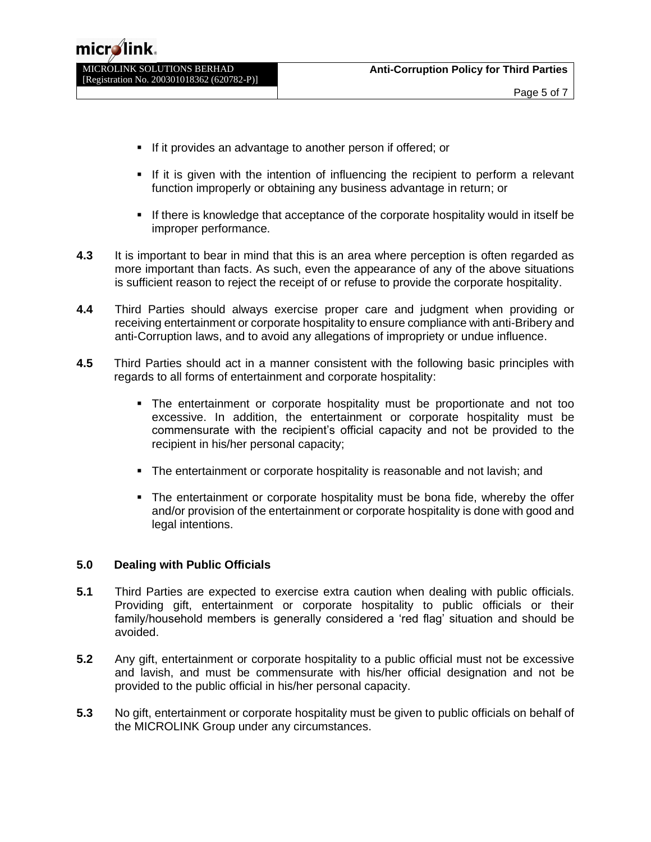# $microlink$

| MICROLINK SOLUTIONS BERHAD<br>[Registration No. 200301018362 (620782-P)] | <b>Anti-Corruption Policy for Third Parties</b> |
|--------------------------------------------------------------------------|-------------------------------------------------|
|                                                                          | Page 5 of 7                                     |

- If it provides an advantage to another person if offered; or
- **.** If it is given with the intention of influencing the recipient to perform a relevant function improperly or obtaining any business advantage in return; or
- **.** If there is knowledge that acceptance of the corporate hospitality would in itself be improper performance.
- **4.3** It is important to bear in mind that this is an area where perception is often regarded as more important than facts. As such, even the appearance of any of the above situations is sufficient reason to reject the receipt of or refuse to provide the corporate hospitality.
- **4.4** Third Parties should always exercise proper care and judgment when providing or receiving entertainment or corporate hospitality to ensure compliance with anti-Bribery and anti-Corruption laws, and to avoid any allegations of impropriety or undue influence.
- **4.5** Third Parties should act in a manner consistent with the following basic principles with regards to all forms of entertainment and corporate hospitality:
	- The entertainment or corporate hospitality must be proportionate and not too excessive. In addition, the entertainment or corporate hospitality must be commensurate with the recipient's official capacity and not be provided to the recipient in his/her personal capacity;
	- The entertainment or corporate hospitality is reasonable and not lavish; and
	- **•** The entertainment or corporate hospitality must be bona fide, whereby the offer and/or provision of the entertainment or corporate hospitality is done with good and legal intentions.

## **5.0 Dealing with Public Officials**

- **5.1** Third Parties are expected to exercise extra caution when dealing with public officials. Providing gift, entertainment or corporate hospitality to public officials or their family/household members is generally considered a 'red flag' situation and should be avoided.
- **5.2** Any gift, entertainment or corporate hospitality to a public official must not be excessive and lavish, and must be commensurate with his/her official designation and not be provided to the public official in his/her personal capacity.
- **5.3** No gift, entertainment or corporate hospitality must be given to public officials on behalf of the MICROLINK Group under any circumstances.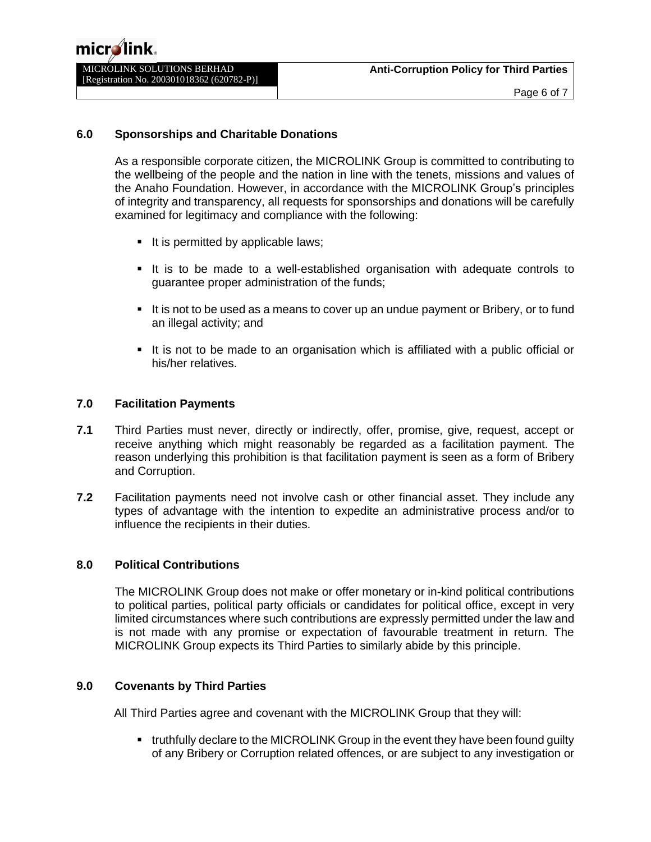## **6.0 Sponsorships and Charitable Donations**

As a responsible corporate citizen, the MICROLINK Group is committed to contributing to the wellbeing of the people and the nation in line with the tenets, missions and values of the Anaho Foundation. However, in accordance with the MICROLINK Group's principles of integrity and transparency, all requests for sponsorships and donations will be carefully examined for legitimacy and compliance with the following:

- It is permitted by applicable laws;
- It is to be made to a well-established organisation with adequate controls to guarantee proper administration of the funds;
- It is not to be used as a means to cover up an undue payment or Bribery, or to fund an illegal activity; and
- It is not to be made to an organisation which is affiliated with a public official or his/her relatives.

## **7.0 Facilitation Payments**

- **7.1** Third Parties must never, directly or indirectly, offer, promise, give, request, accept or receive anything which might reasonably be regarded as a facilitation payment. The reason underlying this prohibition is that facilitation payment is seen as a form of Bribery and Corruption.
- **7.2** Facilitation payments need not involve cash or other financial asset. They include any types of advantage with the intention to expedite an administrative process and/or to influence the recipients in their duties.

#### **8.0 Political Contributions**

The MICROLINK Group does not make or offer monetary or in-kind political contributions to political parties, political party officials or candidates for political office, except in very limited circumstances where such contributions are expressly permitted under the law and is not made with any promise or expectation of favourable treatment in return. The MICROLINK Group expects its Third Parties to similarly abide by this principle.

#### **9.0 Covenants by Third Parties**

All Third Parties agree and covenant with the MICROLINK Group that they will:

■ truthfully declare to the MICROLINK Group in the event they have been found quilty of any Bribery or Corruption related offences, or are subject to any investigation or